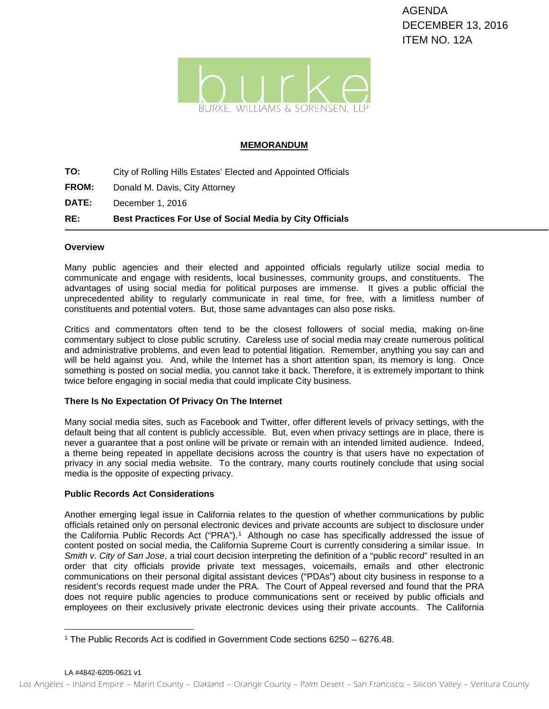

### **MEMORANDUM**

- **TO:** City of Rolling Hills Estates' Elected and Appointed Officials
- **FROM:** Donald M. Davis, City Attorney
- **DATE:** December 1, 2016

# **RE: Best Practices For Use of Social Media by City Officials**

### **Overview**

Many public agencies and their elected and appointed officials regularly utilize social media to communicate and engage with residents, local businesses, community groups, and constituents. The advantages of using social media for political purposes are immense. It gives a public official the unprecedented ability to regularly communicate in real time, for free, with a limitless number of constituents and potential voters. But, those same advantages can also pose risks.

Critics and commentators often tend to be the closest followers of social media, making on-line commentary subject to close public scrutiny. Careless use of social media may create numerous political and administrative problems, and even lead to potential litigation. Remember, anything you say can and will be held against you. And, while the Internet has a short attention span, its memory is long. Once something is posted on social media, you cannot take it back. Therefore, it is extremely important to think twice before engaging in social media that could implicate City business.

### **There Is No Expectation Of Privacy On The Internet**

Many social media sites, such as Facebook and Twitter, offer different levels of privacy settings, with the default being that all content is publicly accessible. But, even when privacy settings are in place, there is never a guarantee that a post online will be private or remain with an intended limited audience. Indeed, a theme being repeated in appellate decisions across the country is that users have no expectation of privacy in any social media website. To the contrary, many courts routinely conclude that using social media is the opposite of expecting privacy.

### **Public Records Act Considerations**

Another emerging legal issue in California relates to the question of whether communications by public officials retained only on personal electronic devices and private accounts are subject to disclosure under the California Public Records Act ("PRA").<sup>1</sup> Although no case has specifically addressed the issue of content posted on social media, the California Supreme Court is currently considering a similar issue. In *Smith v. City of San Jose*, a trial court decision interpreting the definition of a "public record" resulted in an order that city officials provide private text messages, voicemails, emails and other electronic communications on their personal digital assistant devices ("PDAs") about city business in response to a resident's records request made under the PRA. The Court of Appeal reversed and found that the PRA does not require public agencies to produce communications sent or received by public officials and employees on their exclusively private electronic devices using their private accounts. The California

<span id="page-0-0"></span> <sup>1</sup> The Public Records Act is codified in Government Code sections 6250 – 6276.48.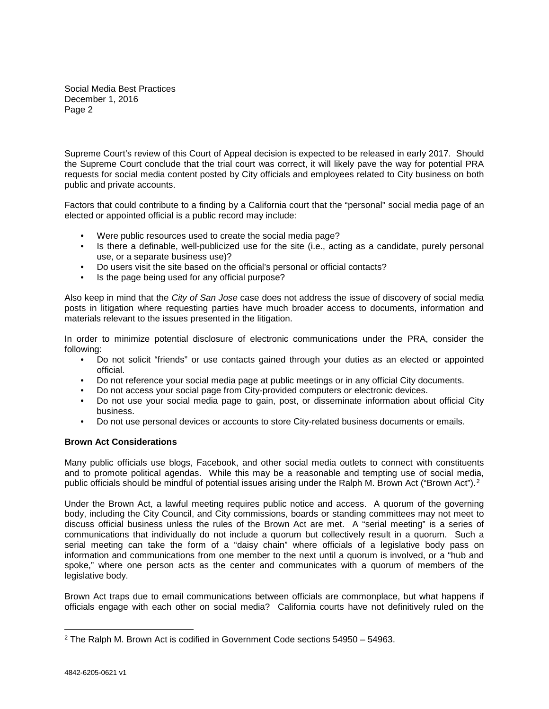Social Media Best Practices December 1, 2016 Page 2

Supreme Court's review of this Court of Appeal decision is expected to be released in early 2017. Should the Supreme Court conclude that the trial court was correct, it will likely pave the way for potential PRA requests for social media content posted by City officials and employees related to City business on both public and private accounts.

Factors that could contribute to a finding by a California court that the "personal" social media page of an elected or appointed official is a public record may include:

- Were public resources used to create the social media page?
- Is there a definable, well-publicized use for the site (i.e., acting as a candidate, purely personal use, or a separate business use)?
- Do users visit the site based on the official's personal or official contacts?
- Is the page being used for any official purpose?

Also keep in mind that the *City of San Jose* case does not address the issue of discovery of social media posts in litigation where requesting parties have much broader access to documents, information and materials relevant to the issues presented in the litigation.

In order to minimize potential disclosure of electronic communications under the PRA, consider the following:

- Do not solicit "friends" or use contacts gained through your duties as an elected or appointed official.
- Do not reference your social media page at public meetings or in any official City documents.
- Do not access your social page from City-provided computers or electronic devices.
- Do not use your social media page to gain, post, or disseminate information about official City business.
- Do not use personal devices or accounts to store City-related business documents or emails.

### **Brown Act Considerations**

Many public officials use blogs, Facebook, and other social media outlets to connect with constituents and to promote political agendas. While this may be a reasonable and tempting use of social media, public officials should be mindful of potential issues arising under the Ralph M. Brown Act ("Brown Act").<sup>[2](#page-1-0)</sup>

Under the Brown Act, a lawful meeting requires public notice and access. A quorum of the governing body, including the City Council, and City commissions, boards or standing committees may not meet to discuss official business unless the rules of the Brown Act are met. A "serial meeting" is a series of communications that individually do not include a quorum but collectively result in a quorum. Such a serial meeting can take the form of a "daisy chain" where officials of a legislative body pass on information and communications from one member to the next until a quorum is involved, or a "hub and spoke," where one person acts as the center and communicates with a quorum of members of the legislative body.

Brown Act traps due to email communications between officials are commonplace, but what happens if officials engage with each other on social media? California courts have not definitively ruled on the

<span id="page-1-0"></span> <sup>2</sup> The Ralph M. Brown Act is codified in Government Code sections 54950 – 54963.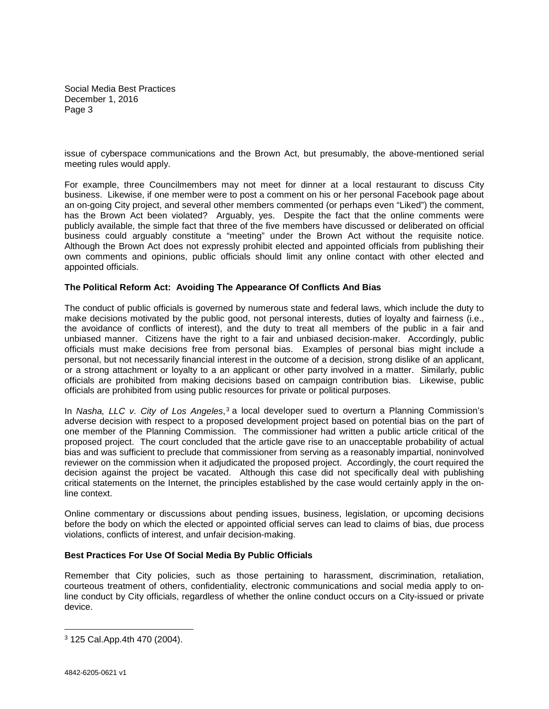Social Media Best Practices December 1, 2016 Page 3

issue of cyberspace communications and the Brown Act, but presumably, the above-mentioned serial meeting rules would apply.

For example, three Councilmembers may not meet for dinner at a local restaurant to discuss City business. Likewise, if one member were to post a comment on his or her personal Facebook page about an on-going City project, and several other members commented (or perhaps even "Liked") the comment, has the Brown Act been violated? Arguably, yes. Despite the fact that the online comments were publicly available, the simple fact that three of the five members have discussed or deliberated on official business could arguably constitute a "meeting" under the Brown Act without the requisite notice. Although the Brown Act does not expressly prohibit elected and appointed officials from publishing their own comments and opinions, public officials should limit any online contact with other elected and appointed officials.

#### **The Political Reform Act: Avoiding The Appearance Of Conflicts And Bias**

The conduct of public officials is governed by numerous state and federal laws, which include the duty to make decisions motivated by the public good, not personal interests, duties of loyalty and fairness (i.e., the avoidance of conflicts of interest), and the duty to treat all members of the public in a fair and unbiased manner. Citizens have the right to a fair and unbiased decision-maker. Accordingly, public officials must make decisions free from personal bias. Examples of personal bias might include a personal, but not necessarily financial interest in the outcome of a decision, strong dislike of an applicant, or a strong attachment or loyalty to a an applicant or other party involved in a matter. Similarly, public officials are prohibited from making decisions based on campaign contribution bias. Likewise, public officials are prohibited from using public resources for private or political purposes.

In *Nasha, LLC v. City of Los Angeles*,<sup>[3](#page-2-0)</sup> a local developer sued to overturn a Planning Commission's adverse decision with respect to a proposed development project based on potential bias on the part of one member of the Planning Commission. The commissioner had written a public article critical of the proposed project. The court concluded that the article gave rise to an unacceptable probability of actual bias and was sufficient to preclude that commissioner from serving as a reasonably impartial, noninvolved reviewer on the commission when it adjudicated the proposed project. Accordingly, the court required the decision against the project be vacated. Although this case did not specifically deal with publishing critical statements on the Internet, the principles established by the case would certainly apply in the online context.

Online commentary or discussions about pending issues, business, legislation, or upcoming decisions before the body on which the elected or appointed official serves can lead to claims of bias, due process violations, conflicts of interest, and unfair decision-making.

### **Best Practices For Use Of Social Media By Public Officials**

Remember that City policies, such as those pertaining to harassment, discrimination, retaliation, courteous treatment of others, confidentiality, electronic communications and social media apply to online conduct by City officials, regardless of whether the online conduct occurs on a City-issued or private device.

<span id="page-2-0"></span> <sup>3</sup> 125 Cal.App.4th 470 (2004).